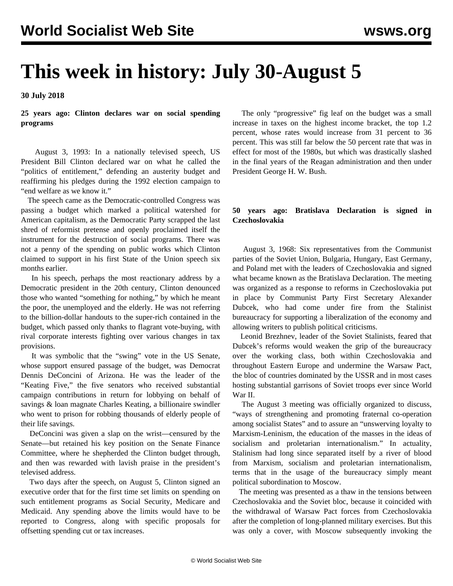# **This week in history: July 30-August 5**

**30 July 2018**

**25 years ago: Clinton declares war on social spending programs**

 August 3, 1993: In a nationally televised speech, US President Bill Clinton declared war on what he called the "politics of entitlement," defending an austerity budget and reaffirming his pledges during the 1992 election campaign to "end welfare as we know it."

 The speech came as the Democratic-controlled Congress was passing a budget which marked a political watershed for American capitalism, as the Democratic Party scrapped the last shred of reformist pretense and openly proclaimed itself the instrument for the destruction of social programs. There was not a penny of the spending on public works which Clinton claimed to support in his first State of the Union speech six months earlier.

 In his speech, perhaps the most reactionary address by a Democratic president in the 20th century, Clinton denounced those who wanted "something for nothing," by which he meant the poor, the unemployed and the elderly. He was not referring to the billion-dollar handouts to the super-rich contained in the budget, which passed only thanks to flagrant vote-buying, with rival corporate interests fighting over various changes in tax provisions.

 It was symbolic that the "swing" vote in the US Senate, whose support ensured passage of the budget, was Democrat Dennis DeConcini of Arizona. He was the leader of the "Keating Five," the five senators who received substantial campaign contributions in return for lobbying on behalf of savings & loan magnate Charles Keating, a billionaire swindler who went to prison for robbing thousands of elderly people of their life savings.

 DeConcini was given a slap on the wrist—censured by the Senate—but retained his key position on the Senate Finance Committee, where he shepherded the Clinton budget through, and then was rewarded with lavish praise in the president's televised address.

 Two days after the speech, on August 5, Clinton signed an executive order that for the first time set limits on spending on such entitlement programs as Social Security, Medicare and Medicaid. Any spending above the limits would have to be reported to Congress, along with specific proposals for offsetting spending cut or tax increases.

 The only "progressive" fig leaf on the budget was a small increase in taxes on the highest income bracket, the top 1.2 percent, whose rates would increase from 31 percent to 36 percent. This was still far below the 50 percent rate that was in effect for most of the 1980s, but which was drastically slashed in the final years of the Reagan administration and then under President George H. W. Bush.

#### **50 years ago: Bratislava Declaration is signed in Czechoslovakia**

 August 3, 1968: Six representatives from the Communist parties of the Soviet Union, Bulgaria, Hungary, East Germany, and Poland met with the leaders of Czechoslovakia and signed what became known as the Bratislava Declaration. The meeting was organized as a response to reforms in Czechoslovakia put in place by Communist Party First Secretary Alexander Dubcek, who had come under fire from the Stalinist bureaucracy for supporting a liberalization of the economy and allowing writers to publish political criticisms.

 Leonid Brezhnev, leader of the Soviet Stalinists, feared that Dubcek's reforms would weaken the grip of the bureaucracy over the working class, both within Czechoslovakia and throughout Eastern Europe and undermine the Warsaw Pact, the bloc of countries dominated by the USSR and in most cases hosting substantial garrisons of Soviet troops ever since World War II.

 The August 3 meeting was officially organized to discuss, "ways of strengthening and promoting fraternal co-operation among socialist States" and to assure an "unswerving loyalty to Marxism-Leninism, the education of the masses in the ideas of socialism and proletarian internationalism." In actuality, Stalinism had long since separated itself by a river of blood from Marxism, socialism and proletarian internationalism, terms that in the usage of the bureaucracy simply meant political subordination to Moscow.

 The meeting was presented as a thaw in the tensions between Czechoslovakia and the Soviet bloc, because it coincided with the withdrawal of Warsaw Pact forces from Czechoslovakia after the completion of long-planned military exercises. But this was only a cover, with Moscow subsequently invoking the